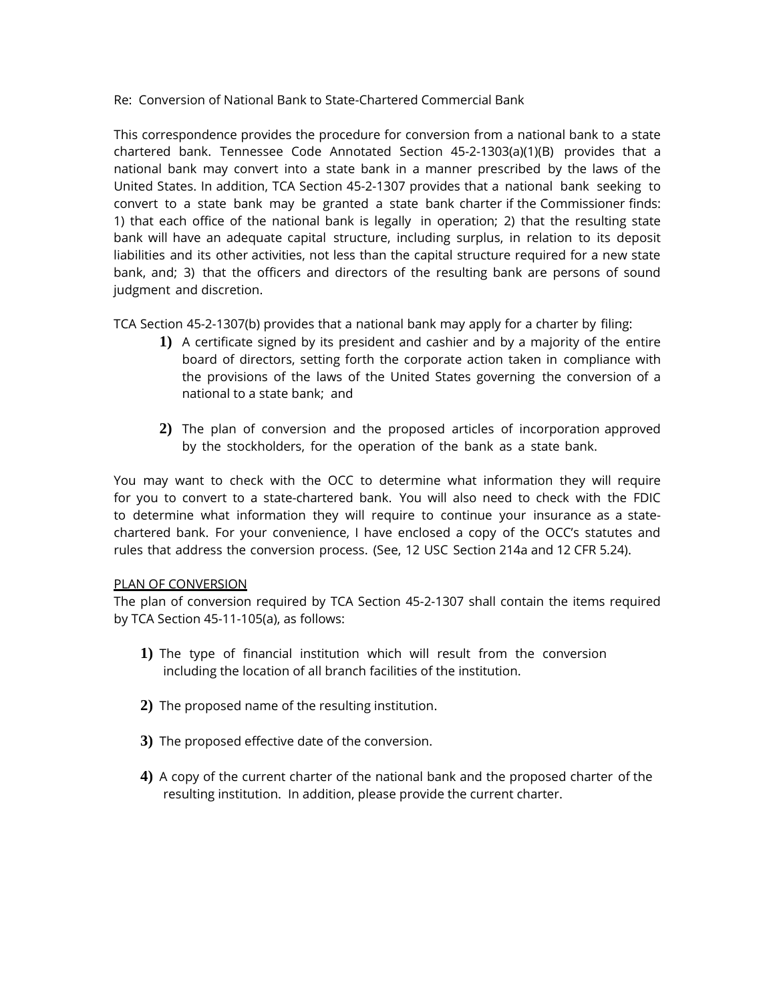# Re: Conversion of National Bank to State-Chartered Commercial Bank

This correspondence provides the procedure for conversion from a national bank to a state chartered bank. Tennessee Code Annotated Section 45-2-1303(a)(1)(B) provides that a national bank may convert into a state bank in a manner prescribed by the laws of the United States. In addition, TCA Section 45-2-1307 provides that a national bank seeking to convert to a state bank may be granted a state bank charter if the Commissioner finds: 1) that each office of the national bank is legally in operation; 2) that the resulting state bank will have an adequate capital structure, including surplus, in relation to its deposit liabilities and its other activities, not less than the capital structure required for a new state bank, and; 3) that the officers and directors of the resulting bank are persons of sound judgment and discretion.

TCA Section 45-2-1307(b) provides that a national bank may apply for a charter by filing:

- **1)** A certificate signed by its president and cashier and by a majority of the entire board of directors, setting forth the corporate action taken in compliance with the provisions of the laws of the United States governing the conversion of a national to a state bank; and
- **2)** The plan of conversion and the proposed articles of incorporation approved by the stockholders, for the operation of the bank as a state bank.

You may want to check with the OCC to determine what information they will require for you to convert to a state-chartered bank. You will also need to check with the FDIC to determine what information they will require to continue your insurance as a statechartered bank. For your convenience, I have enclosed a copy of the OCC's statutes and rules that address the conversion process. (See, 12 USC Section 214a and 12 CFR 5.24).

# PLAN OF CONVERSION

The plan of conversion required by TCA Section 45-2-1307 shall contain the items required by TCA Section 45-11-105(a), as follows:

- **1)** The type of financial institution which will result from the conversion including the location of all branch facilities of the institution.
- **2)** The proposed name of the resulting institution.
- **3)** The proposed effective date of the conversion.
- **4)** A copy of the current charter of the national bank and the proposed charter of the resulting institution. In addition, please provide the current charter.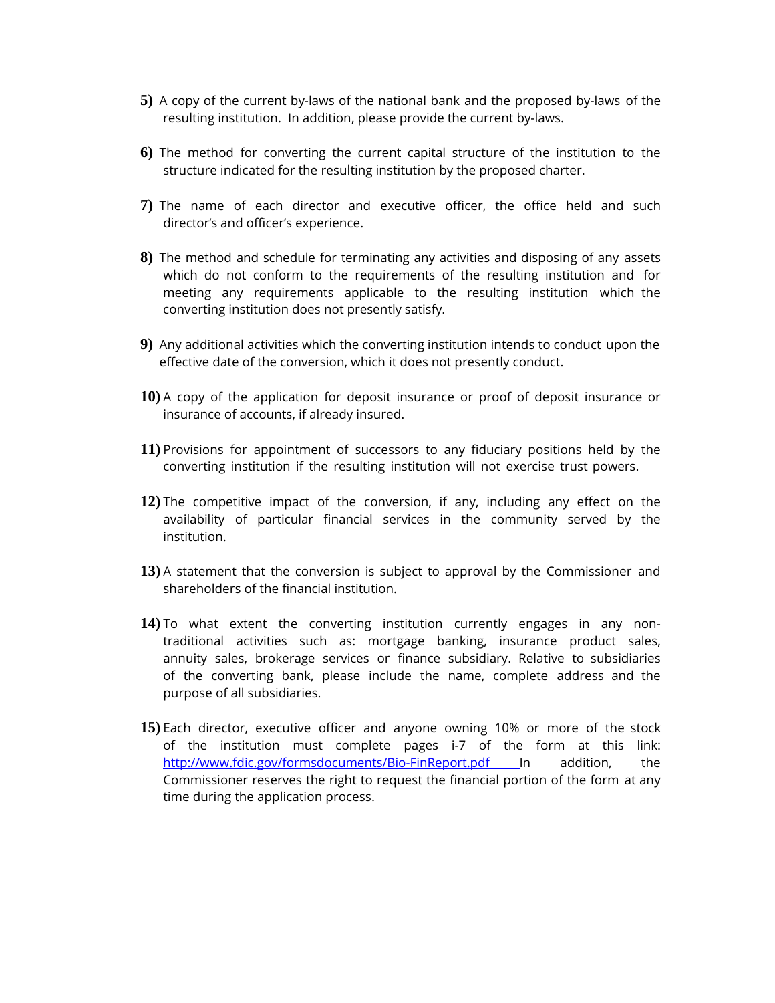- **5)** A copy of the current by-laws of the national bank and the proposed by-laws of the resulting institution. In addition, please provide the current by-laws.
- **6)** The method for converting the current capital structure of the institution to the structure indicated for the resulting institution by the proposed charter.
- **7)** The name of each director and executive officer, the office held and such director's and officer's experience.
- **8)** The method and schedule for terminating any activities and disposing of any assets which do not conform to the requirements of the resulting institution and for meeting any requirements applicable to the resulting institution which the converting institution does not presently satisfy.
- **9)** Any additional activities which the converting institution intends to conduct upon the effective date of the conversion, which it does not presently conduct.
- **10)** A copy of the application for deposit insurance or proof of deposit insurance or insurance of accounts, if already insured.
- **11)** Provisions for appointment of successors to any fiduciary positions held by the converting institution if the resulting institution will not exercise trust powers.
- **12)** The competitive impact of the conversion, if any, including any effect on the availability of particular financial services in the community served by the institution.
- **13)** A statement that the conversion is subject to approval by the Commissioner and shareholders of the financial institution.
- **14)** To what extent the converting institution currently engages in any nontraditional activities such as: mortgage banking, insurance product sales, annuity sales, brokerage services or finance subsidiary. Relative to subsidiaries of the converting bank, please include the name, complete address and the purpose of all subsidiaries.
- **15)** Each director, executive officer and anyone owning 10% or more of the stock of the institution must complete pages i-7 of the form at this link: <http://www.fdic.gov/formsdocuments/Bio-FinReport.pdf> In addition, the Commissioner reserves the right to request the financial portion of the form at any time during the application process.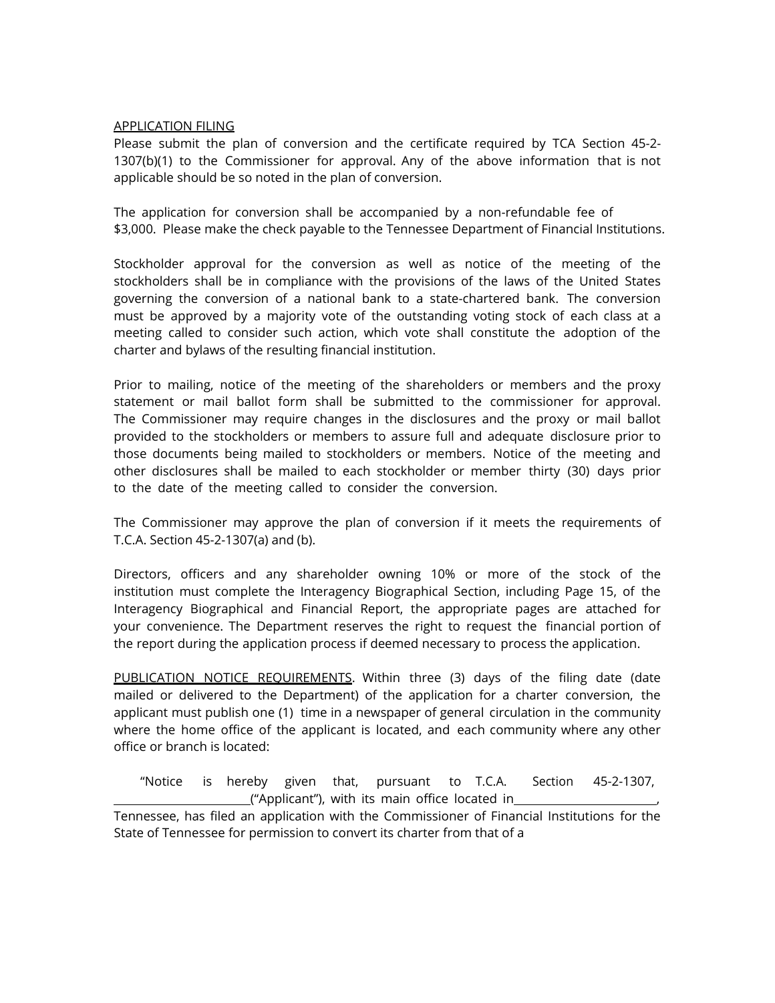# APPLICATION FILING

Please submit the plan of conversion and the certificate required by TCA Section 45-2- 1307(b)(1) to the Commissioner for approval. Any of the above information that is not applicable should be so noted in the plan of conversion.

The application for conversion shall be accompanied by a non-refundable fee of \$3,000. Please make the check payable to the Tennessee Department of Financial Institutions.

Stockholder approval for the conversion as well as notice of the meeting of the stockholders shall be in compliance with the provisions of the laws of the United States governing the conversion of a national bank to a state-chartered bank. The conversion must be approved by a majority vote of the outstanding voting stock of each class at a meeting called to consider such action, which vote shall constitute the adoption of the charter and bylaws of the resulting financial institution.

Prior to mailing, notice of the meeting of the shareholders or members and the proxy statement or mail ballot form shall be submitted to the commissioner for approval. The Commissioner may require changes in the disclosures and the proxy or mail ballot provided to the stockholders or members to assure full and adequate disclosure prior to those documents being mailed to stockholders or members. Notice of the meeting and other disclosures shall be mailed to each stockholder or member thirty (30) days prior to the date of the meeting called to consider the conversion.

The Commissioner may approve the plan of conversion if it meets the requirements of T.C.A. Section 45-2-1307(a) and (b).

Directors, officers and any shareholder owning 10% or more of the stock of the institution must complete the Interagency Biographical Section, including Page 15, of the Interagency Biographical and Financial Report, the appropriate pages are attached for your convenience. The Department reserves the right to request the financial portion of the report during the application process if deemed necessary to process the application.

PUBLICATION NOTICE REOUIREMENTS. Within three (3) days of the filing date (date mailed or delivered to the Department) of the application for a charter conversion, the applicant must publish one (1) time in a newspaper of general circulation in the community where the home office of the applicant is located, and each community where any other office or branch is located:

"Notice is hereby given that, pursuant to T.C.A. Section 45-2-1307,  $\Box$  ("Applicant"), with its main office located in  $\Box$ Tennessee, has filed an application with the Commissioner of Financial Institutions for the State of Tennessee for permission to convert its charter from that of a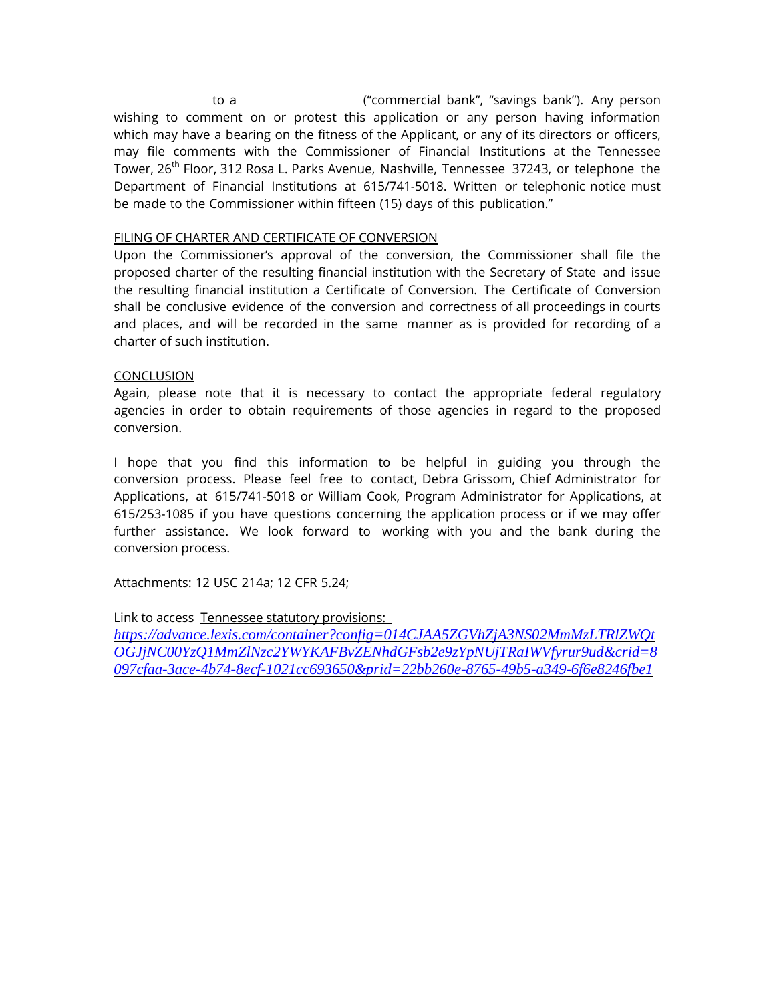to a ("commercial bank", "savings bank"). Any person wishing to comment on or protest this application or any person having information which may have a bearing on the fitness of the Applicant, or any of its directors or officers, may file comments with the Commissioner of Financial Institutions at the Tennessee Tower, 26<sup>th</sup> Floor, 312 Rosa L. Parks Avenue, Nashville, Tennessee 37243, or telephone the Department of Financial Institutions at 615/741-5018. Written or telephonic notice must be made to the Commissioner within fifteen (15) days of this publication."

# FILING OF CHARTER AND CERTIFICATE OF CONVERSION

Upon the Commissioner's approval of the conversion, the Commissioner shall file the proposed charter of the resulting financial institution with the Secretary of State and issue the resulting financial institution a Certificate of Conversion. The Certificate of Conversion shall be conclusive evidence of the conversion and correctness of all proceedings in courts and places, and will be recorded in the same manner as is provided for recording of a charter of such institution.

# **CONCLUSION**

Again, please note that it is necessary to contact the appropriate federal regulatory agencies in order to obtain requirements of those agencies in regard to the proposed conversion.

I hope that you find this information to be helpful in guiding you through the conversion process. Please feel free to contact, Debra Grissom, Chief Administrator for Applications, at 615/741-5018 or William Cook, Program Administrator for Applications, at 615/253-1085 if you have questions concerning the application process or if we may offer further assistance. We look forward to working with you and the bank during the conversion process.

Attachments: 12 USC 214a; 12 CFR 5.24;

Link to access Tennessee statutory provisions:

*[https://advance.lexis.com/container?config=014CJAA5ZGVhZjA3NS02MmMzLTRlZWQt](https://advance.lexis.com/container?config=014CJAA5ZGVhZjA3NS02MmMzLTRlZWQtOGJjNC00YzQ1MmZlNzc2YWYKAFBvZENhdGFsb2e9zYpNUjTRaIWVfyrur9ud&crid=8097cfaa-3ace-4b74-8ecf-1021cc693650&prid=22bb260e-8765-49b5-a349-6f6e8246fbe1) [OGJjNC00YzQ1MmZlNzc2YWYKAFBvZENhdGFsb2e9zYpNUjTRaIWVfyrur9ud&crid=8](https://advance.lexis.com/container?config=014CJAA5ZGVhZjA3NS02MmMzLTRlZWQtOGJjNC00YzQ1MmZlNzc2YWYKAFBvZENhdGFsb2e9zYpNUjTRaIWVfyrur9ud&crid=8097cfaa-3ace-4b74-8ecf-1021cc693650&prid=22bb260e-8765-49b5-a349-6f6e8246fbe1) [097cfaa-3ace-4b74-8ecf-1021cc693650&prid=22bb260e-8765-49b5-a349-6f6e8246fbe1](https://advance.lexis.com/container?config=014CJAA5ZGVhZjA3NS02MmMzLTRlZWQtOGJjNC00YzQ1MmZlNzc2YWYKAFBvZENhdGFsb2e9zYpNUjTRaIWVfyrur9ud&crid=8097cfaa-3ace-4b74-8ecf-1021cc693650&prid=22bb260e-8765-49b5-a349-6f6e8246fbe1)*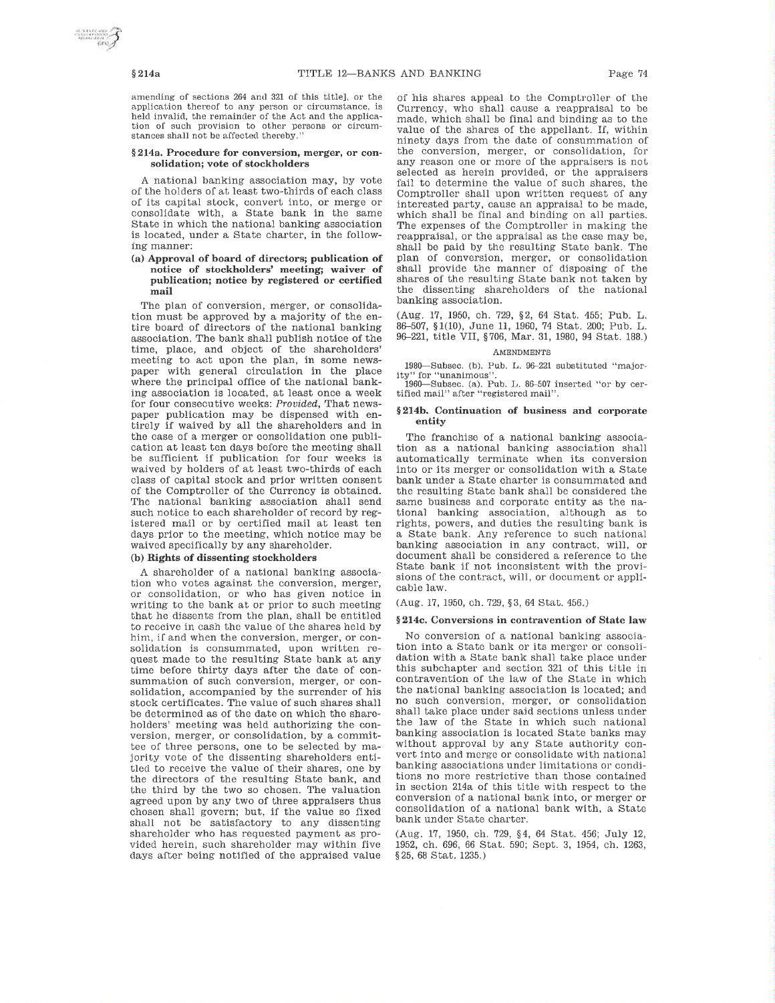Page 74

### $§214a$

amending of sections 264 and 321 of this title], or the application thereof to any person or circumstance, is held invalid, the remainder of the Act and the application of such provision to other persons or circumstances shall not be affected thereby.

#### §214a. Procedure for conversion, merger, or consolidation; vote of stockholders

A national banking association may, by vote of the holders of at least two-thirds of each class of its capital stock, convert into, or merge or consolidate with, a State bank in the same State in which the national banking association is located, under a State charter, in the following manner:

### (a) Approval of board of directors; publication of notice of stockholders' meeting; waiver of publication; notice by registered or certified mail

The plan of conversion, merger, or consolidation must be approved by a majority of the entire board of directors of the national banking association. The bank shall publish notice of the time, place, and object of the shareholders' meeting to act upon the plan, in some newspaper with general circulation in the place where the principal office of the national banking association is located, at least once a week for four consecutive weeks: Provided, That newspaper publication may be dispensed with entirely if waived by all the shareholders and in the case of a merger or consolidation one publication at least ten days before the meeting shall be sufficient if publication for four weeks is waived by holders of at least two-thirds of each class of capital stock and prior written consent of the Comptroller of the Currency is obtained. The national banking association shall send such notice to each shareholder of record by registered mail or by certified mail at least ten days prior to the meeting, which notice may be waived specifically by any shareholder.

### (b) Rights of dissenting stockholders

A shareholder of a national banking association who votes against the conversion, merger, or consolidation, or who has given notice in writing to the bank at or prior to such meeting that he dissents from the plan, shall be entitled to receive in cash the value of the shares held by him, if and when the conversion, merger, or consolidation is consummated, upon written request made to the resulting State bank at any time before thirty days after the date of consummation of such conversion, merger, or consolidation, accompanied by the surrender of his stock certificates. The value of such shares shall be determined as of the date on which the shareholders' meeting was held authorizing the conversion, merger, or consolidation, by a committee of three persons, one to be selected by majority vote of the dissenting shareholders entitled to receive the value of their shares, one by the directors of the resulting State bank, and the third by the two so chosen. The valuation agreed upon by any two of three appraisers thus chosen shall govern; but, if the value so fixed shall not be satisfactory to any dissenting shareholder who has requested payment as provided herein, such shareholder may within five days after being notified of the appraised value of his shares appeal to the Comptroller of the Currency, who shall cause a reappraisal to be made, which shall be final and binding as to the value of the shares of the appellant. If, within ninety days from the date of consummation of the conversion, merger, or consolidation, for any reason one or more of the appraisers is not selected as herein provided, or the appraisers fail to determine the value of such shares, the Comptroller shall upon written request of any interested party, cause an appraisal to be made, which shall be final and binding on all parties. The expenses of the Comptroller in making the reappraisal, or the appraisal as the case may be, shall be paid by the resulting State bank. The plan of conversion, merger, or consolidation shall provide the manner of disposing of the shares of the resulting State bank not taken by the dissenting shareholders of the national banking association.

(Aug. 17, 1950, ch. 729, §2, 64 Stat. 455; Pub. L. 86-507, §1(10), June 11, 1960, 74 Stat. 200; Pub. L. 96-221, title VII, §706, Mar. 31, 1980, 94 Stat. 188.)

#### **AMENDMENTS**

1980—Subsec. (b), Pub. L. 96-221 substituted "majority" for "unanimous"

1960—Subsec. (a). Pub. L. 86-507 inserted "or by certified mail" after "registered mail"

#### §214b. Continuation of business and corporate entity

The franchise of a national banking association as a national banking association shall automatically terminate when its conversion into or its merger or consolidation with a State bank under a State charter is consummated and the resulting State bank shall be considered the same business and corporate entity as the national banking association, although as to rights, powers, and duties the resulting bank is a State bank. Any reference to such national banking association in any contract, will, or document shall be considered a reference to the State bank if not inconsistent with the provisions of the contract, will, or document or applicable law.

(Aug. 17, 1950, ch. 729, §3, 64 Stat. 456.)

#### §214c, Conversions in contravention of State law

No conversion of a national banking association into a State bank or its merger or consolidation with a State bank shall take place under this subchapter and section 321 of this title in contravention of the law of the State in which the national banking association is located; and no such conversion, merger, or consolidation shall take place under said sections unless under the law of the State in which such national banking association is located State banks may without approval by any State authority convert into and merge or consolidate with national banking associations under limitations or conditions no more restrictive than those contained in section 214a of this title with respect to the conversion of a national bank into, or merger or consolidation of a national bank with, a State bank under State charter.

(Aug. 17, 1950, ch. 729, §4, 64 Stat. 456; July 12, 1952, ch. 696, 66 Stat. 590; Sept. 3, 1954, ch. 1263, §25, 68 Stat. 1235.)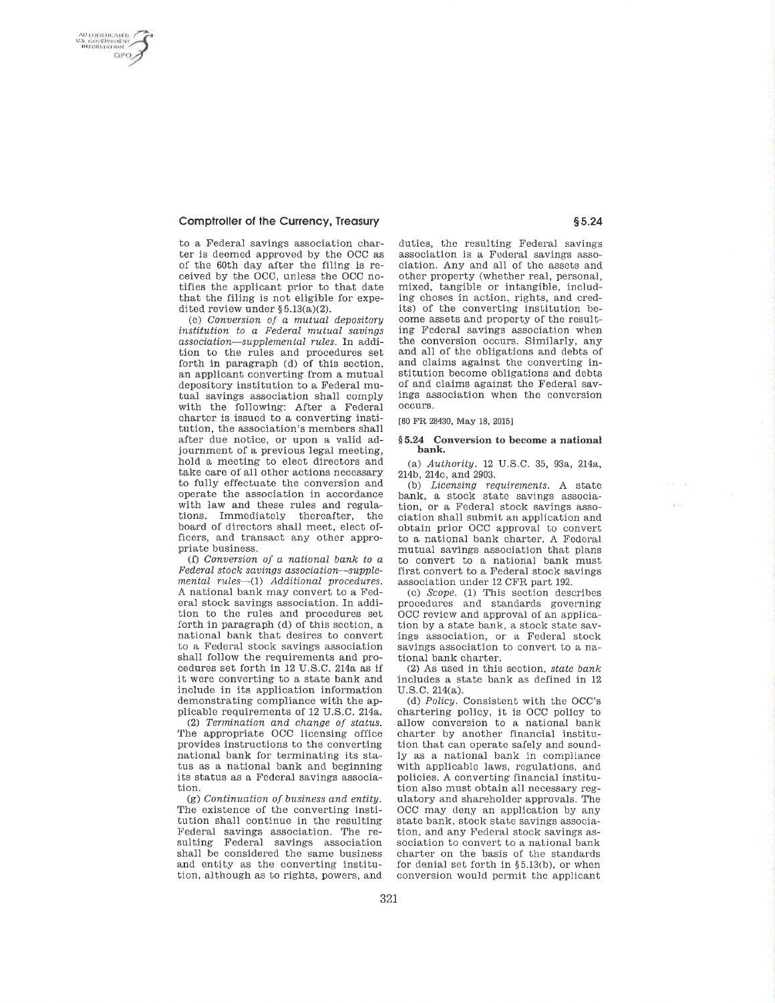**UTHENTICATED** S GOVERNMENT<br>INFORMATION GPO:

### **Comptroller of the Currency, Treasury**

to a Federal savings association charter is deemed approved by the OCC as of the 60th day after the filing is received by the OCC, unless the OCC notifies the applicant prior to that date that the filing is not eligible for expedited review under  $\S 5.13(a)(2)$ .

(e) Conversion of a mutual depository institution to a Federal mutual savings association-supplemental rules. In addition to the rules and procedures set forth in paragraph (d) of this section, an applicant converting from a mutual depository institution to a Federal mutual savings association shall comply with the following: After a Federal charter is issued to a converting institution, the association's members shall after due notice, or upon a valid adjournment of a previous legal meeting, hold a meeting to elect directors and take care of all other actions necessary to fully effectuate the conversion and operate the association in accordance with law and these rules and regulations. Immediately thereafter, the board of directors shall meet, elect officers, and transact any other appropriate business.

(f) Conversion of a national bank to a Federal stock savings association-supplemental rules-(1) Additional procedures. A national bank may convert to a Federal stock savings association. In addition to the rules and procedures set forth in paragraph (d) of this section, a national bank that desires to convert to a Federal stock savings association shall follow the requirements and procedures set forth in 12 U.S.C. 214a as if it were converting to a state bank and include in its application information demonstrating compliance with the applicable requirements of 12 U.S.C. 214a.

(2) Termination and change of status. The appropriate OCC licensing office provides instructions to the converting national bank for terminating its status as a national bank and beginning its status as a Federal savings association.

(g) Continuation of business and entity. The existence of the converting institution shall continue in the resulting Federal savings association. The resulting Federal savings association shall be considered the same business and entity as the converting institution, although as to rights, powers, and duties, the resulting Federal savings association is a Federal savings association. Any and all of the assets and other property (whether real, personal, mixed, tangible or intangible, including choses in action, rights, and credits) of the converting institution become assets and property of the resulting Federal savings association when the conversion occurs. Similarly, any and all of the obligations and debts of and claims against the converting institution become obligations and debts of and claims against the Federal savings association when the conversion occurs.

[80 FR 28430, May 18, 2015]

#### §5.24 Conversion to become a national bank.

(a) Authority. 12 U.S.C. 35, 93a, 214a, 214b, 214c, and 2903.

(b) Licensing requirements. A state bank, a stock state savings association, or a Federal stock savings association shall submit an application and obtain prior OCC approval to convert to a national bank charter. A Federal mutual savings association that plans to convert to a national bank must first convert to a Federal stock savings association under 12 CFR part 192.

(c) Scope. (1) This section describes procedures and standards governing OCC review and approval of an application by a state bank, a stock state savings association, or a Federal stock savings association to convert to a national bank charter.

(2) As used in this section, state bank includes a state bank as defined in 12 U.S.C. 214(a).

(d) Policy. Consistent with the OCC's chartering policy, it is OCC policy to allow conversion to a national bank charter by another financial institution that can operate safely and soundly as a national bank in compliance with applicable laws, regulations, and policies. A converting financial institution also must obtain all necessary regulatory and shareholder approvals. The OCC may deny an application by any state bank, stock state savings association, and any Federal stock savings association to convert to a national bank charter on the basis of the standards for denial set forth in §5.13(b), or when conversion would permit the applicant

 $111 - 00$ 

 $\mathbf{X}$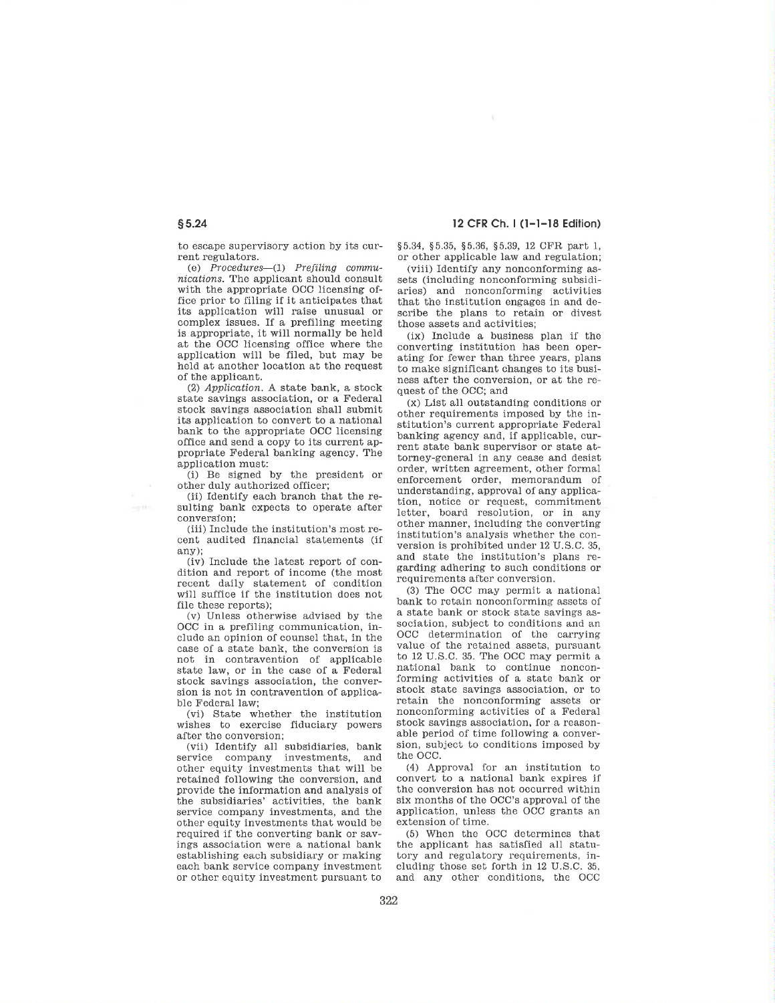to escape supervisory action by its current regulators.

(e)  $Proceedures—(1)$   $Prefixing$  communications. The applicant should consult with the appropriate OCC licensing office prior to filing if it anticipates that its application will raise unusual or complex issues. If a prefiling meeting is appropriate, it will normally be held at the OCC licensing office where the application will be filed, but may be held at another location at the request of the applicant.

(2) Application. A state bank, a stock state savings association, or a Federal stock savings association shall submit its application to convert to a national bank to the appropriate OCC licensing office and send a copy to its current appropriate Federal banking agency. The application must:

(i) Be signed by the president or other duly authorized officer;

(ii) Identify each branch that the resulting bank expects to operate after conversion:

(iii) Include the institution's most recent audited financial statements (if any);

(iv) Include the latest report of condition and report of income (the most recent daily statement of condition will suffice if the institution does not file these reports);

(v) Unless otherwise advised by the OCC in a prefiling communication, include an opinion of counsel that, in the case of a state bank, the conversion is not in contravention of applicable state law, or in the case of a Federal stock savings association, the conversion is not in contravention of applicable Federal law:

(vi) State whether the institution wishes to exercise fiduciary powers after the conversion;

(vii) Identify all subsidiaries, bank service company investments, and other equity investments that will be retained following the conversion, and provide the information and analysis of the subsidiaries' activities, the bank service company investments, and the other equity investments that would be required if the converting bank or savings association were a national bank establishing each subsidiary or making each bank service company investment or other equity investment pursuant to

## 12 CFR Ch. I (1-1-18 Edition)

§5.34, §5.35, §5.36, §5.39, 12 CFR part 1, or other applicable law and regulation;

(viii) Identify any nonconforming assets (including nonconforming subsidiaries) and nonconforming activities that the institution engages in and describe the plans to retain or divest those assets and activities;

(ix) Include a business plan if the converting institution has been operating for fewer than three years, plans to make significant changes to its business after the conversion, or at the request of the OCC; and

 $(x)$  List all outstanding conditions or other requirements imposed by the institution's current appropriate Federal banking agency and, if applicable, current state bank supervisor or state attorney-general in any cease and desist order, written agreement, other formal enforcement order, memorandum of understanding, approval of any application, notice or request, commitment letter, board resolution, or in any other manner, including the converting institution's analysis whether the conversion is prohibited under 12 U.S.C. 35, and state the institution's plans regarding adhering to such conditions or requirements after conversion.

(3) The OCC may permit a national bank to retain nonconforming assets of a state bank or stock state savings association, subject to conditions and an OCC determination of the carrying value of the retained assets, pursuant to 12 U.S.C. 35. The OCC may permit a national bank to continue nonconforming activities of a state bank or stock state savings association, or to retain the nonconforming assets or nonconforming activities of a Federal stock savings association, for a reasonable period of time following a conversion, subject to conditions imposed by the OCC.

(4) Approval for an institution to convert to a national bank expires if the conversion has not occurred within six months of the OCC's approval of the application, unless the OCC grants an extension of time.

(5) When the OCC determines that the applicant has satisfied all statutory and regulatory requirements, including those set forth in 12 U.S.C. 35. and any other conditions, the OCC